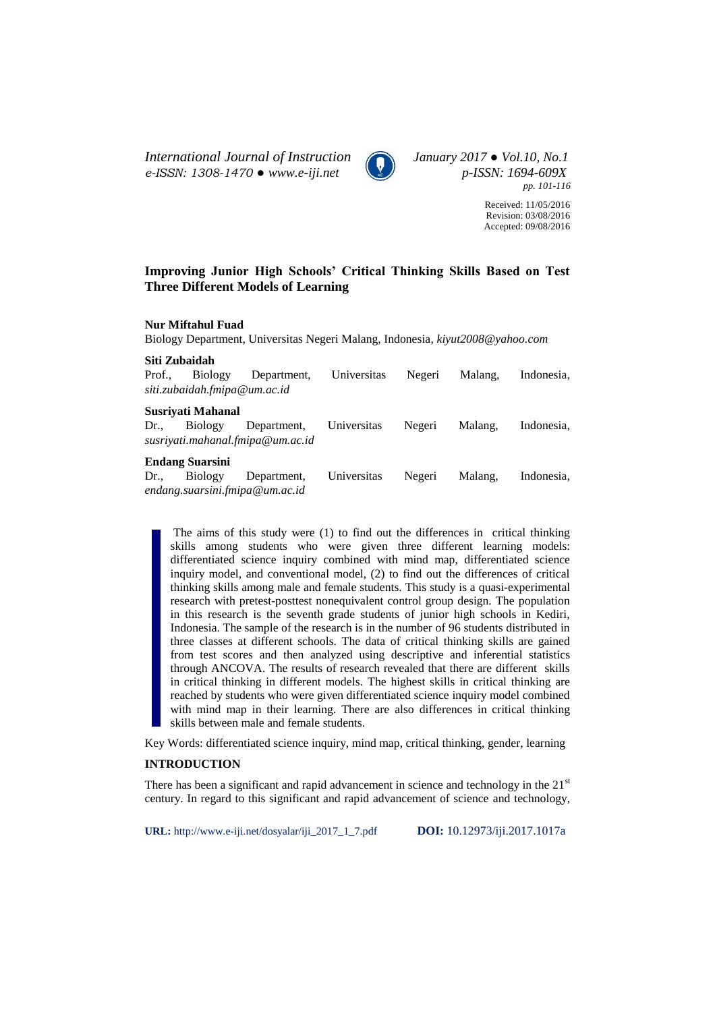*International Journal of Instruction January 2017 ● Vol.10, No.1 e-ISSN: 1308-1470 ● www.e-iji.net p-ISSN: 1694-609X*



*pp. 101-116*

Received: 11/05/2016 Revision: 03/08/2016 Accepted: 09/08/2016

# **Improving Junior High Schools' Critical Thinking Skills Based on Test Three Different Models of Learning**

# **Nur Miftahul Fuad**

Biology Department, Universitas Negeri Malang, Indonesia, *kiyut2008@yahoo.com*

**Siti Zubaidah**

| Prof.,            | Biology                      | Department,                      | Universitas | Negeri | Malang. | Indonesia. |
|-------------------|------------------------------|----------------------------------|-------------|--------|---------|------------|
|                   | siti.zubaidah.fmipa@um.ac.id |                                  |             |        |         |            |
|                   | Susrivati Mahanal            |                                  |             |        |         |            |
| $Dr_{\cdot\cdot}$ | Biology                      | Department,                      | Universitas | Negeri | Malang. | Indonesia. |
|                   |                              | susriyati.mahanal.fmipa@um.ac.id |             |        |         |            |
|                   | <b>Endang Suarsini</b>       |                                  |             |        |         |            |
|                   | Dr., Biology                 | Department.                      | Universitas | Negeri | Malang. | Indonesia. |

Dr., Biology Department, Universitas Negeri Malang, Indonesia, *endang.suarsini.fmipa@um.ac.id*

The aims of this study were (1) to find out the differences in critical thinking skills among students who were given three different learning models: differentiated science inquiry combined with mind map, differentiated science inquiry model, and conventional model, (2) to find out the differences of critical thinking skills among male and female students. This study is a quasi-experimental research with pretest-posttest nonequivalent control group design. The population in this research is the seventh grade students of junior high schools in Kediri, Indonesia. The sample of the research is in the number of 96 students distributed in three classes at different schools. The data of critical thinking skills are gained from test scores and then analyzed using descriptive and inferential statistics through ANCOVA. The results of research revealed that there are different skills in critical thinking in different models. The highest skills in critical thinking are reached by students who were given differentiated science inquiry model combined with mind map in their learning. There are also differences in critical thinking skills between male and female students.

Key Words: differentiated science inquiry, mind map, critical thinking, gender, learning

### **INTRODUCTION**

There has been a significant and rapid advancement in science and technology in the  $21<sup>st</sup>$ century. In regard to this significant and rapid advancement of science and technology,

**URL:** http://www.e-iji.net/dosyalar/iji\_2017\_1\_7.pdf **DOI:** 10.12973/iji.2017.1017a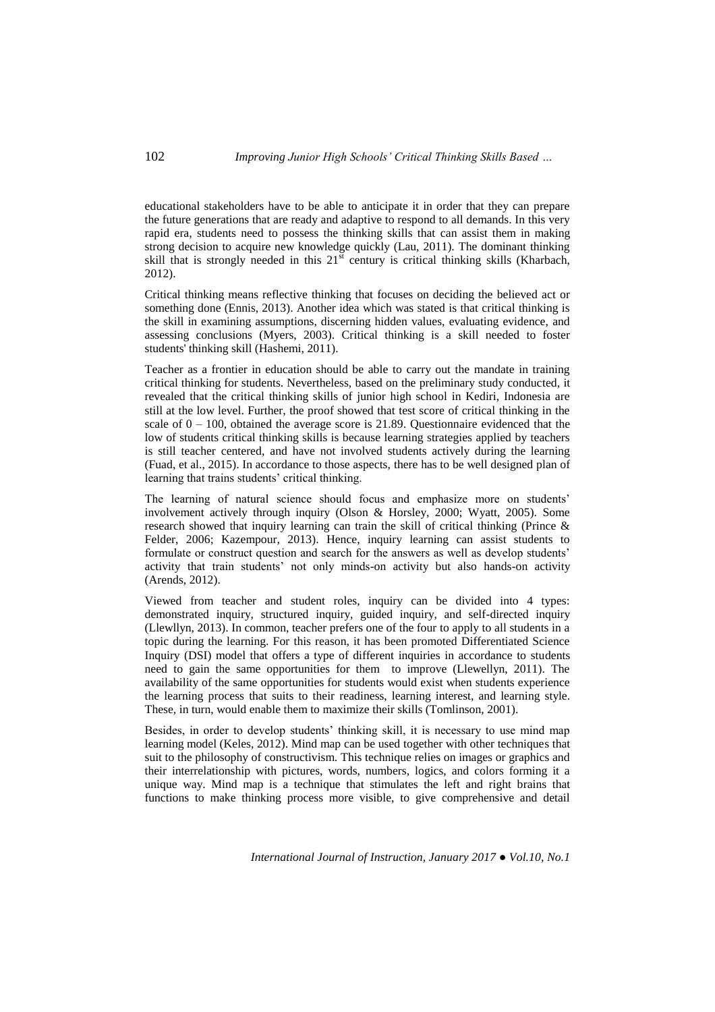# 102 *Improving Junior High Schools' Critical Thinking Skills Based …*

educational stakeholders have to be able to anticipate it in order that they can prepare the future generations that are ready and adaptive to respond to all demands. In this very rapid era, students need to possess the thinking skills that can assist them in making strong decision to acquire new knowledge quickly (Lau, 2011). The dominant thinking skill that is strongly needed in this  $21<sup>st</sup>$  century is critical thinking skills (Kharbach, 2012).

Critical thinking means reflective thinking that focuses on deciding the believed act or something done (Ennis, 2013). Another idea which was stated is that critical thinking is the skill in examining assumptions, discerning hidden values, evaluating evidence, and assessing conclusions (Myers, 2003). Critical thinking is a skill needed to foster students' thinking skill (Hashemi, 2011).

Teacher as a frontier in education should be able to carry out the mandate in training critical thinking for students. Nevertheless, based on the preliminary study conducted, it revealed that the critical thinking skills of junior high school in Kediri, Indonesia are still at the low level. Further, the proof showed that test score of critical thinking in the scale of  $0 - 100$ , obtained the average score is 21.89. Questionnaire evidenced that the low of students critical thinking skills is because learning strategies applied by teachers is still teacher centered, and have not involved students actively during the learning (Fuad, et al., 2015). In accordance to those aspects, there has to be well designed plan of learning that trains students' critical thinking.

The learning of natural science should focus and emphasize more on students' involvement actively through inquiry (Olson & Horsley, 2000; Wyatt, 2005). Some research showed that inquiry learning can train the skill of critical thinking (Prince & Felder, 2006; Kazempour, 2013). Hence, inquiry learning can assist students to formulate or construct question and search for the answers as well as develop students' activity that train students' not only minds-on activity but also hands-on activity (Arends, 2012).

Viewed from teacher and student roles, inquiry can be divided into 4 types: demonstrated inquiry, structured inquiry, guided inquiry, and self-directed inquiry (Llewllyn, 2013). In common, teacher prefers one of the four to apply to all students in a topic during the learning. For this reason, it has been promoted Differentiated Science Inquiry (DSI) model that offers a type of different inquiries in accordance to students need to gain the same opportunities for them to improve (Llewellyn, 2011). The availability of the same opportunities for students would exist when students experience the learning process that suits to their readiness, learning interest, and learning style. These, in turn, would enable them to maximize their skills (Tomlinson, 2001).

Besides, in order to develop students' thinking skill, it is necessary to use mind map learning model (Keles, 2012). Mind map can be used together with other techniques that suit to the philosophy of constructivism. This technique relies on images or graphics and their interrelationship with pictures, words, numbers, logics, and colors forming it a unique way. Mind map is a technique that stimulates the left and right brains that functions to make thinking process more visible, to give comprehensive and detail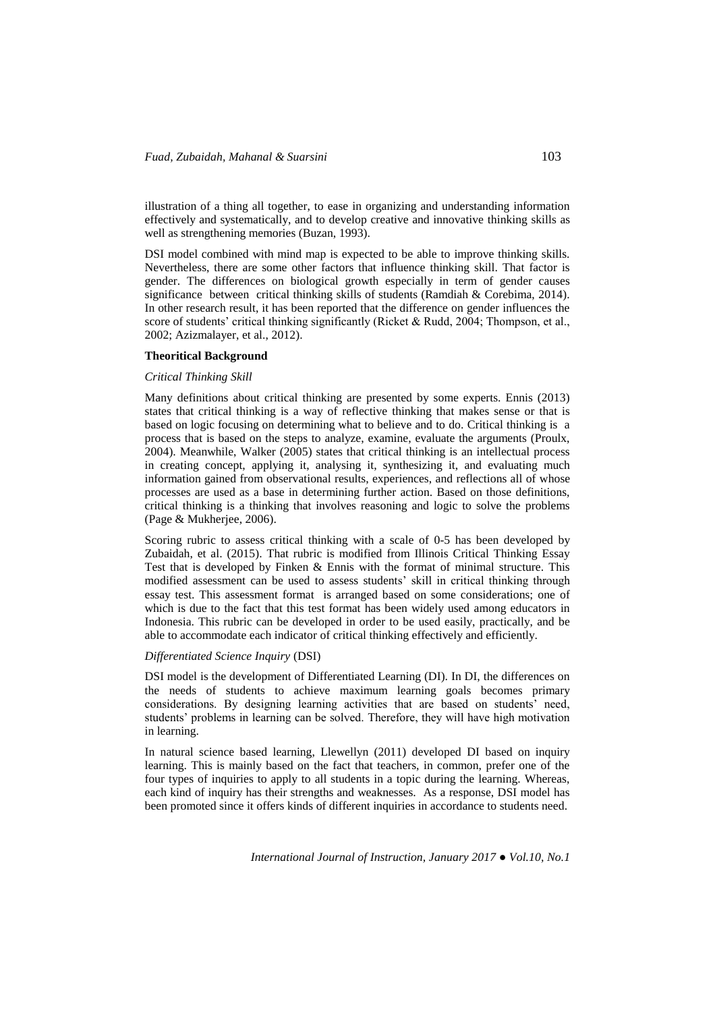illustration of a thing all together, to ease in organizing and understanding information effectively and systematically, and to develop creative and innovative thinking skills as well as strengthening memories (Buzan, 1993).

DSI model combined with mind map is expected to be able to improve thinking skills. Nevertheless, there are some other factors that influence thinking skill. That factor is gender. The differences on biological growth especially in term of gender causes significance between critical thinking skills of students (Ramdiah & Corebima, 2014). In other research result, it has been reported that the difference on gender influences the score of students' critical thinking significantly (Ricket & Rudd, 2004; Thompson, et al., 2002; Azizmalayer, et al., 2012).

### **Theoritical Background**

# *Critical Thinking Skill*

Many definitions about critical thinking are presented by some experts. Ennis (2013) states that critical thinking is a way of reflective thinking that makes sense or that is based on logic focusing on determining what to believe and to do. Critical thinking is a process that is based on the steps to analyze, examine, evaluate the arguments (Proulx, 2004). Meanwhile, Walker (2005) states that critical thinking is an intellectual process in creating concept, applying it, analysing it, synthesizing it, and evaluating much information gained from observational results, experiences, and reflections all of whose processes are used as a base in determining further action. Based on those definitions, critical thinking is a thinking that involves reasoning and logic to solve the problems (Page & Mukherjee, 2006).

Scoring rubric to assess critical thinking with a scale of 0-5 has been developed by Zubaidah, et al. (2015). That rubric is modified from Illinois Critical Thinking Essay Test that is developed by Finken & Ennis with the format of minimal structure. This modified assessment can be used to assess students' skill in critical thinking through essay test. This assessment format is arranged based on some considerations; one of which is due to the fact that this test format has been widely used among educators in Indonesia. This rubric can be developed in order to be used easily, practically, and be able to accommodate each indicator of critical thinking effectively and efficiently.

### *Differentiated Science Inquiry* (DSI)

DSI model is the development of Differentiated Learning (DI). In DI, the differences on the needs of students to achieve maximum learning goals becomes primary considerations. By designing learning activities that are based on students' need, students' problems in learning can be solved. Therefore, they will have high motivation in learning.

In natural science based learning, Llewellyn (2011) developed DI based on inquiry learning. This is mainly based on the fact that teachers, in common, prefer one of the four types of inquiries to apply to all students in a topic during the learning. Whereas, each kind of inquiry has their strengths and weaknesses. As a response, DSI model has been promoted since it offers kinds of different inquiries in accordance to students need.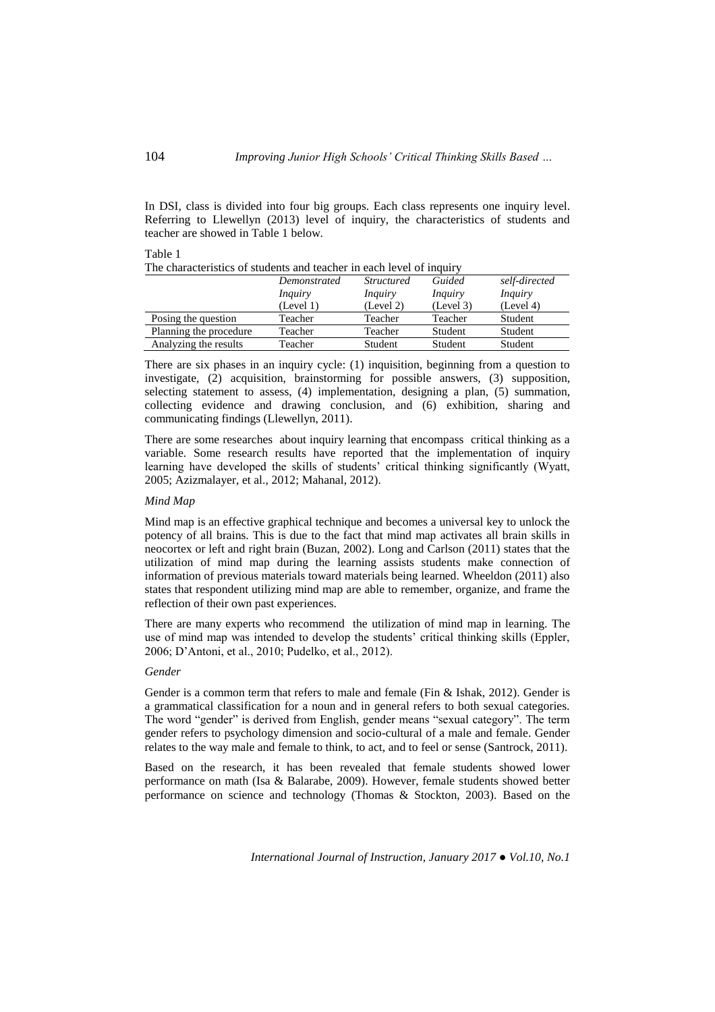In DSI, class is divided into four big groups. Each class represents one inquiry level. Referring to Llewellyn (2013) level of inquiry, the characteristics of students and teacher are showed in Table 1 below.

| The characteristics of students and teacher in each level of induiry |                |                   |                |                |  |  |  |
|----------------------------------------------------------------------|----------------|-------------------|----------------|----------------|--|--|--|
|                                                                      | Demonstrated   | <i>Structured</i> | Guided         | self-directed  |  |  |  |
|                                                                      | <i>Inquiry</i> | <i>Inquiry</i>    | <i>Inquiry</i> | <i>Inquiry</i> |  |  |  |
|                                                                      | (Level 1)      | (Level 2)         | (Level 3)      | (Level 4)      |  |  |  |
| Posing the question                                                  | Teacher        | Teacher           | Teacher        | Student        |  |  |  |
| Planning the procedure                                               | Teacher        | Teacher           | Student        | Student        |  |  |  |
| Analyzing the results                                                | Teacher        | Student           | Student        | Student        |  |  |  |

The characteristics of students and teacher in each level of inquiry

There are six phases in an inquiry cycle: (1) inquisition, beginning from a question to investigate, (2) acquisition, brainstorming for possible answers, (3) supposition, selecting statement to assess, (4) implementation, designing a plan, (5) summation, collecting evidence and drawing conclusion, and (6) exhibition, sharing and communicating findings (Llewellyn, 2011).

There are some researches about inquiry learning that encompass critical thinking as a variable. Some research results have reported that the implementation of inquiry learning have developed the skills of students' critical thinking significantly (Wyatt, 2005; Azizmalayer, et al., 2012; Mahanal, 2012).

### *Mind Map*

Mind map is an effective graphical technique and becomes a universal key to unlock the potency of all brains. This is due to the fact that mind map activates all brain skills in neocortex or left and right brain (Buzan, 2002). Long and Carlson (2011) states that the utilization of mind map during the learning assists students make connection of information of previous materials toward materials being learned. Wheeldon (2011) also states that respondent utilizing mind map are able to remember, organize, and frame the reflection of their own past experiences.

There are many experts who recommend the utilization of mind map in learning. The use of mind map was intended to develop the students' critical thinking skills (Eppler, 2006; D'Antoni, et al., 2010; Pudelko, et al., 2012).

### *Gender*

Gender is a common term that refers to male and female (Fin & Ishak, 2012). Gender is a grammatical classification for a noun and in general refers to both sexual categories. The word "gender" is derived from English, gender means "sexual category". The term gender refers to psychology dimension and socio-cultural of a male and female. Gender relates to the way male and female to think, to act, and to feel or sense (Santrock, 2011).

Based on the research, it has been revealed that female students showed lower performance on math (Isa & Balarabe, 2009). However, female students showed better performance on science and technology (Thomas & Stockton, 2003). Based on the

*International Journal of Instruction, January 2017 ● Vol.10, No.1*

Table 1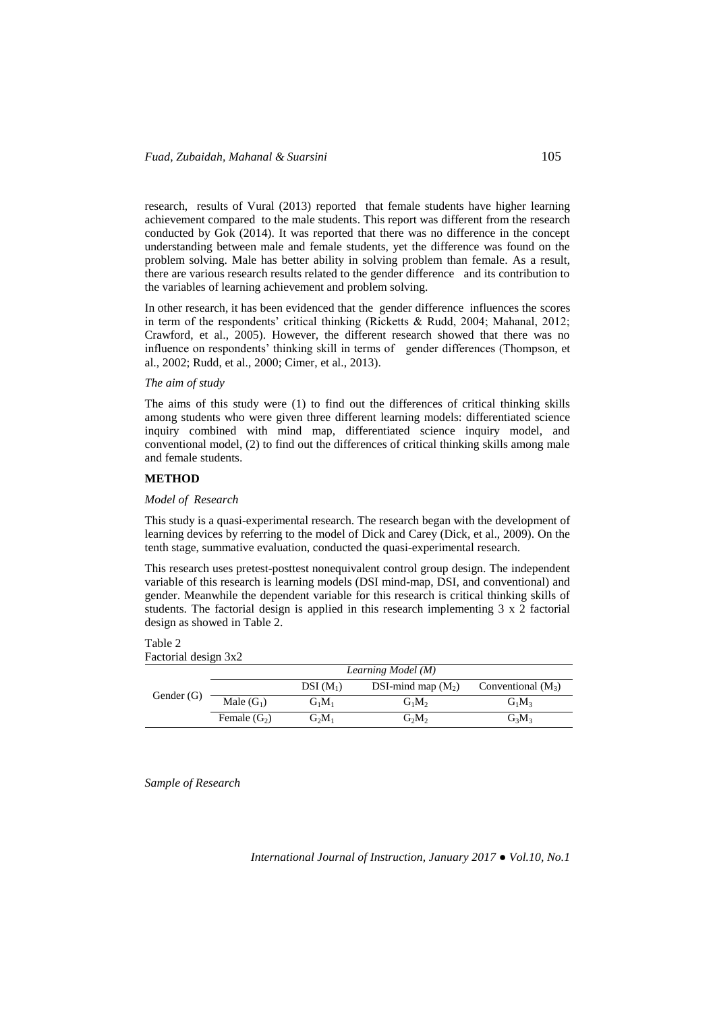research, results of Vural (2013) reported that female students have higher learning achievement compared to the male students. This report was different from the research conducted by Gok (2014). It was reported that there was no difference in the concept understanding between male and female students, yet the difference was found on the problem solving. Male has better ability in solving problem than female. As a result, there are various research results related to the gender difference and its contribution to the variables of learning achievement and problem solving.

In other research, it has been evidenced that the gender difference influences the scores in term of the respondents' critical thinking (Ricketts & Rudd, 2004; Mahanal, 2012; Crawford, et al., 2005). However, the different research showed that there was no influence on respondents' thinking skill in terms of gender differences (Thompson, et al., 2002; Rudd, et al., 2000; Cimer, et al., 2013).

### *The aim of study*

The aims of this study were (1) to find out the differences of critical thinking skills among students who were given three different learning models: differentiated science inquiry combined with mind map, differentiated science inquiry model, and conventional model, (2) to find out the differences of critical thinking skills among male and female students.

## **METHOD**

#### *Model of Research*

This study is a quasi-experimental research. The research began with the development of learning devices by referring to the model of Dick and Carey (Dick, et al., 2009). On the tenth stage, summative evaluation, conducted the quasi-experimental research.

This research uses pretest-posttest nonequivalent control group design. The independent variable of this research is learning models (DSI mind-map, DSI, and conventional) and gender. Meanwhile the dependent variable for this research is critical thinking skills of students. The factorial design is applied in this research implementing 3 x 2 factorial design as showed in Table 2.

# Table 2

Factorial design 3x2

|            |                |            | Learning Model (M)   |                      |
|------------|----------------|------------|----------------------|----------------------|
|            |                | $DSI(M_1)$ | DSI-mind map $(M_2)$ | Conventional $(M_3)$ |
| Gender (G) | Male $(G_1)$   | $G_1M_1$   | $G_1M_2$             | $G_1M_2$             |
|            | Female $(G_2)$ | $G_2M_1$   | $G_2M_2$             | $G_3M_3$             |

*Sample of Research*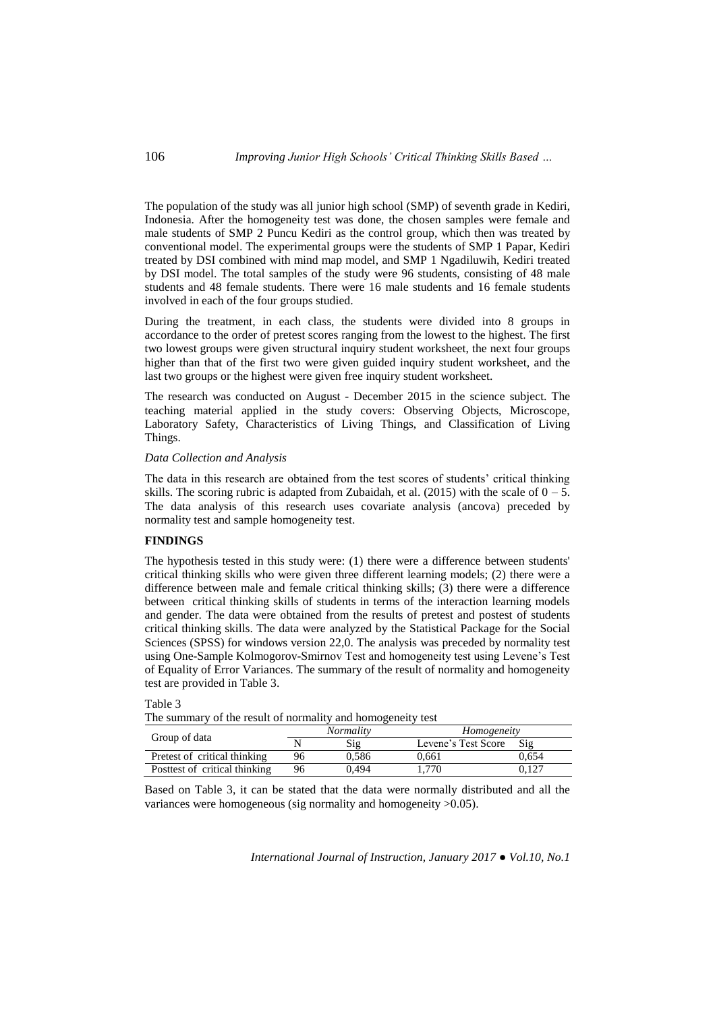The population of the study was all junior high school (SMP) of seventh grade in Kediri, Indonesia. After the homogeneity test was done, the chosen samples were female and male students of SMP 2 Puncu Kediri as the control group, which then was treated by conventional model. The experimental groups were the students of SMP 1 Papar, Kediri treated by DSI combined with mind map model, and SMP 1 Ngadiluwih, Kediri treated by DSI model. The total samples of the study were 96 students, consisting of 48 male students and 48 female students. There were 16 male students and 16 female students involved in each of the four groups studied.

During the treatment, in each class, the students were divided into 8 groups in accordance to the order of pretest scores ranging from the lowest to the highest. The first two lowest groups were given structural inquiry student worksheet, the next four groups higher than that of the first two were given guided inquiry student worksheet, and the last two groups or the highest were given free inquiry student worksheet.

The research was conducted on August - December 2015 in the science subject. The teaching material applied in the study covers: Observing Objects, Microscope, Laboratory Safety, Characteristics of Living Things, and Classification of Living Things.

#### *Data Collection and Analysis*

The data in this research are obtained from the test scores of students' critical thinking skills. The scoring rubric is adapted from Zubaidah, et al. (2015) with the scale of  $0 - 5$ . The data analysis of this research uses covariate analysis (ancova) preceded by normality test and sample homogeneity test.

### **FINDINGS**

The hypothesis tested in this study were: (1) there were a difference between students' critical thinking skills who were given three different learning models; (2) there were a difference between male and female critical thinking skills; (3) there were a difference between critical thinking skills of students in terms of the interaction learning models and gender. The data were obtained from the results of pretest and postest of students critical thinking skills. The data were analyzed by the Statistical Package for the Social Sciences (SPSS) for windows version 22,0. The analysis was preceded by normality test using One-Sample Kolmogorov-Smirnov Test and homogeneity test using Levene's Test of Equality of Error Variances. The summary of the result of normality and homogeneity test are provided in Table 3.

### Table 3

The summary of the result of normality and homogeneity test

| Group of data                 | <i>Normality</i> |       | Homogeneity         |       |
|-------------------------------|------------------|-------|---------------------|-------|
|                               |                  | Sig   | Levene's Test Score | Sig   |
| Pretest of critical thinking  |                  | 0.586 | 0.661               | 0.654 |
| Posttest of critical thinking | 96               | 0.494 | 770                 |       |

Based on Table 3, it can be stated that the data were normally distributed and all the variances were homogeneous (sig normality and homogeneity >0.05).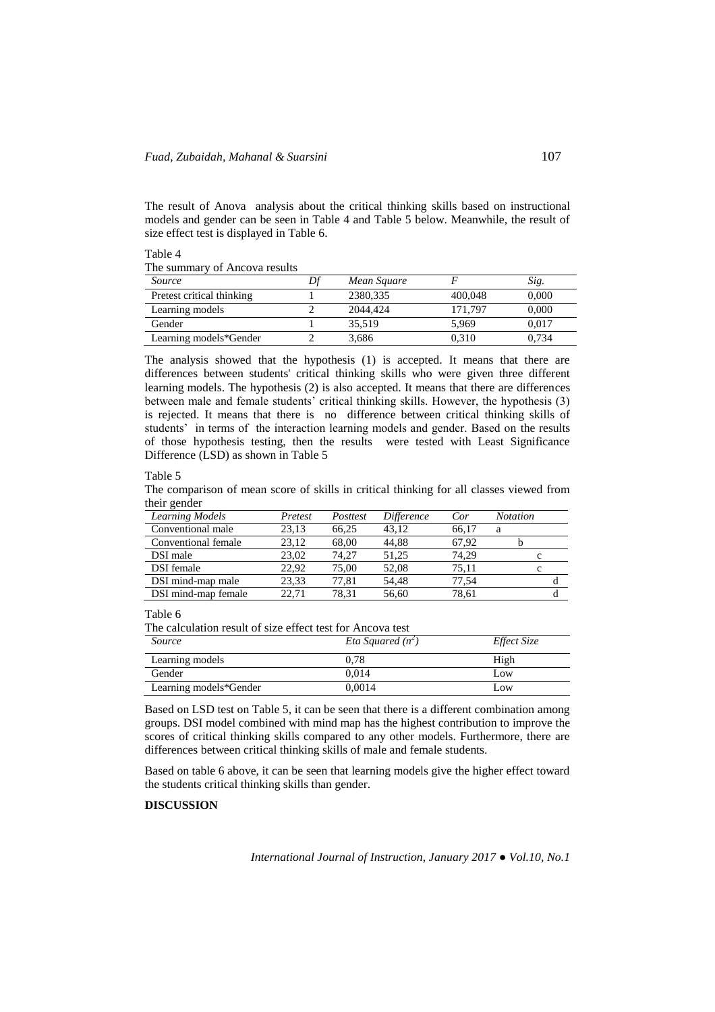The result of Anova analysis about the critical thinking skills based on instructional models and gender can be seen in Table 4 and Table 5 below. Meanwhile, the result of size effect test is displayed in Table 6.

| 1401C |                               |  |  |
|-------|-------------------------------|--|--|
|       | The summary of Ancova results |  |  |

| Source                    | Mean Square |         | Sig.  |
|---------------------------|-------------|---------|-------|
| Pretest critical thinking | 2380.335    | 400.048 | 0.000 |
| Learning models           | 2044.424    | 171.797 | 0.000 |
| Gender                    | 35.519      | 5.969   | 0.017 |
| Learning models*Gender    | 3.686       | 0.310   | 0.734 |

The analysis showed that the hypothesis (1) is accepted. It means that there are differences between students' critical thinking skills who were given three different learning models. The hypothesis (2) is also accepted. It means that there are differences between male and female students' critical thinking skills. However, the hypothesis (3) is rejected. It means that there is no difference between critical thinking skills of students' in terms of the interaction learning models and gender. Based on the results of those hypothesis testing, then the results were tested with Least Significance Difference (LSD) as shown in Table 5

#### Table 5

Table 4

The comparison of mean score of skills in critical thinking for all classes viewed from their gender

| Learning Models     | Pretest | Posttest | <i>Difference</i> | Cor   | <b>Notation</b> |
|---------------------|---------|----------|-------------------|-------|-----------------|
| Conventional male   | 23.13   | 66,25    | 43.12             | 66.17 | а               |
| Conventional female | 23.12   | 68.00    | 44.88             | 67.92 |                 |
| DSI male            | 23.02   | 74.27    | 51.25             | 74.29 | с               |
| <b>DSI</b> female   | 22.92   | 75.00    | 52.08             | 75.11 | c               |
| DSI mind-map male   | 23.33   | 77.81    | 54.48             | 77.54 |                 |
| DSI mind-map female | 22,71   | 78.31    | 56,60             | 78,61 |                 |

#### Table 6

The calculation result of size effect test for Ancova test

| <i>Source</i>          | Eta Squared $(n^2)$ | Effect Size |
|------------------------|---------------------|-------------|
| Learning models        | 0.78                | High        |
| Gender                 | 0.014               | Low         |
| Learning models*Gender | 0.0014              | Low         |

Based on LSD test on Table 5, it can be seen that there is a different combination among groups. DSI model combined with mind map has the highest contribution to improve the scores of critical thinking skills compared to any other models. Furthermore, there are differences between critical thinking skills of male and female students.

Based on table 6 above, it can be seen that learning models give the higher effect toward the students critical thinking skills than gender.

## **DISCUSSION**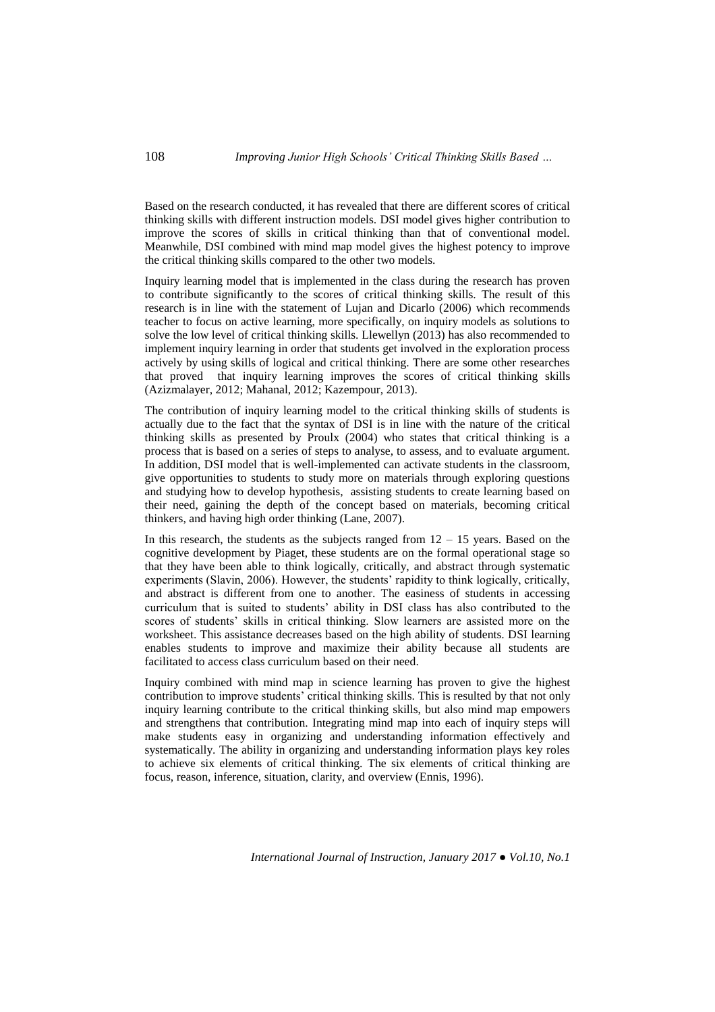Based on the research conducted, it has revealed that there are different scores of critical thinking skills with different instruction models. DSI model gives higher contribution to improve the scores of skills in critical thinking than that of conventional model. Meanwhile, DSI combined with mind map model gives the highest potency to improve the critical thinking skills compared to the other two models.

Inquiry learning model that is implemented in the class during the research has proven to contribute significantly to the scores of critical thinking skills. The result of this research is in line with the statement of Lujan and Dicarlo (2006) which recommends teacher to focus on active learning, more specifically, on inquiry models as solutions to solve the low level of critical thinking skills. Llewellyn (2013) has also recommended to implement inquiry learning in order that students get involved in the exploration process actively by using skills of logical and critical thinking. There are some other researches that proved that inquiry learning improves the scores of critical thinking skills (Azizmalayer, 2012; Mahanal, 2012; Kazempour, 2013).

The contribution of inquiry learning model to the critical thinking skills of students is actually due to the fact that the syntax of DSI is in line with the nature of the critical thinking skills as presented by Proulx (2004) who states that critical thinking is a process that is based on a series of steps to analyse, to assess, and to evaluate argument. In addition, DSI model that is well-implemented can activate students in the classroom, give opportunities to students to study more on materials through exploring questions and studying how to develop hypothesis, assisting students to create learning based on their need, gaining the depth of the concept based on materials, becoming critical thinkers, and having high order thinking (Lane, 2007).

In this research, the students as the subjects ranged from  $12 - 15$  years. Based on the cognitive development by Piaget, these students are on the formal operational stage so that they have been able to think logically, critically, and abstract through systematic experiments (Slavin, 2006). However, the students' rapidity to think logically, critically, and abstract is different from one to another. The easiness of students in accessing curriculum that is suited to students' ability in DSI class has also contributed to the scores of students' skills in critical thinking. Slow learners are assisted more on the worksheet. This assistance decreases based on the high ability of students. DSI learning enables students to improve and maximize their ability because all students are facilitated to access class curriculum based on their need.

Inquiry combined with mind map in science learning has proven to give the highest contribution to improve students' critical thinking skills. This is resulted by that not only inquiry learning contribute to the critical thinking skills, but also mind map empowers and strengthens that contribution. Integrating mind map into each of inquiry steps will make students easy in organizing and understanding information effectively and systematically. The ability in organizing and understanding information plays key roles to achieve six elements of critical thinking. The six elements of critical thinking are focus, reason, inference, situation, clarity, and overview (Ennis, 1996).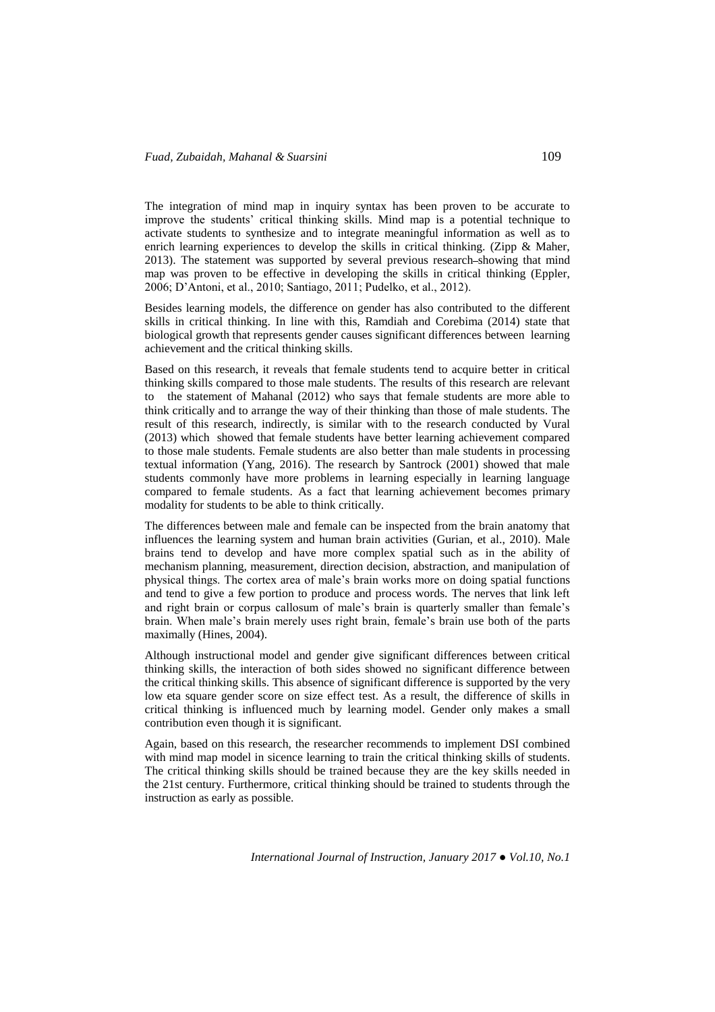The integration of mind map in inquiry syntax has been proven to be accurate to improve the students' critical thinking skills. Mind map is a potential technique to activate students to synthesize and to integrate meaningful information as well as to enrich learning experiences to develop the skills in critical thinking. (Zipp & Maher, 2013). The statement was supported by several previous research showing that mind map was proven to be effective in developing the skills in critical thinking (Eppler, 2006; D'Antoni, et al., 2010; Santiago, 2011; Pudelko, et al., 2012).

Besides learning models, the difference on gender has also contributed to the different skills in critical thinking. In line with this, Ramdiah and Corebima (2014) state that biological growth that represents gender causes significant differences between learning achievement and the critical thinking skills.

Based on this research, it reveals that female students tend to acquire better in critical thinking skills compared to those male students. The results of this research are relevant to the statement of Mahanal (2012) who says that female students are more able to think critically and to arrange the way of their thinking than those of male students. The result of this research, indirectly, is similar with to the research conducted by Vural (2013) which showed that female students have better learning achievement compared to those male students. Female students are also better than male students in processing textual information (Yang, 2016). The research by Santrock (2001) showed that male students commonly have more problems in learning especially in learning language compared to female students. As a fact that learning achievement becomes primary modality for students to be able to think critically.

The differences between male and female can be inspected from the brain anatomy that influences the learning system and human brain activities (Gurian, et al., 2010). Male brains tend to develop and have more complex spatial such as in the ability of mechanism planning, measurement, direction decision, abstraction, and manipulation of physical things. The cortex area of male's brain works more on doing spatial functions and tend to give a few portion to produce and process words. The nerves that link left and right brain or corpus callosum of male's brain is quarterly smaller than female's brain. When male's brain merely uses right brain, female's brain use both of the parts maximally (Hines, 2004).

Although instructional model and gender give significant differences between critical thinking skills, the interaction of both sides showed no significant difference between the critical thinking skills. This absence of significant difference is supported by the very low eta square gender score on size effect test. As a result, the difference of skills in critical thinking is influenced much by learning model. Gender only makes a small contribution even though it is significant.

Again, based on this research, the researcher recommends to implement DSI combined with mind map model in sicence learning to train the critical thinking skills of students. The critical thinking skills should be trained because they are the key skills needed in the 21st century. Furthermore, critical thinking should be trained to students through the instruction as early as possible.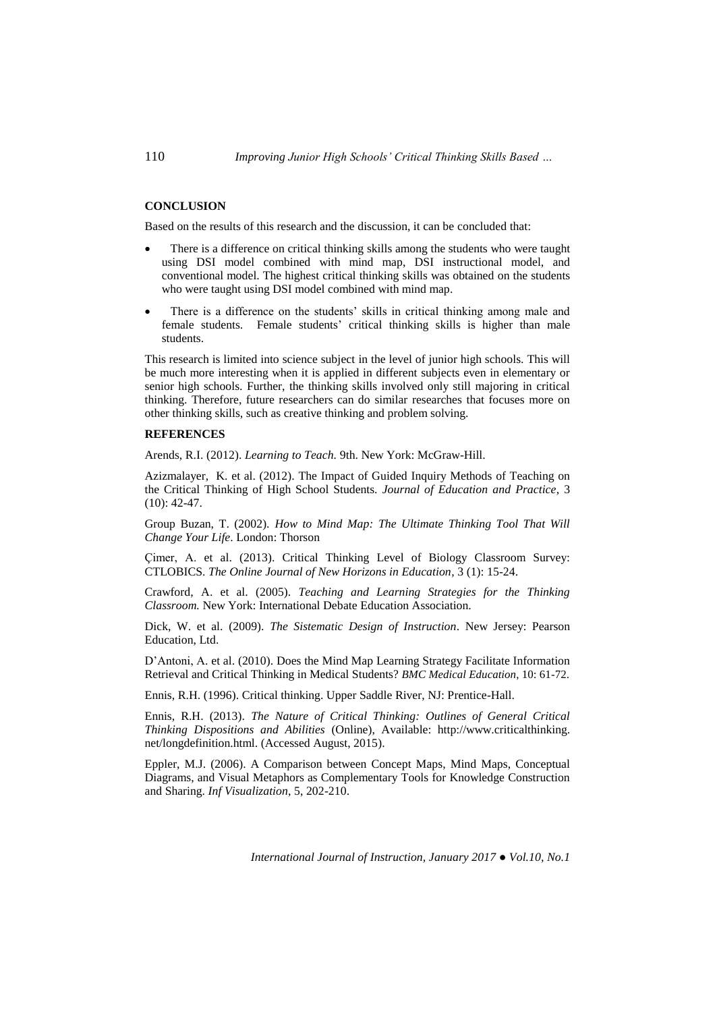# **CONCLUSION**

Based on the results of this research and the discussion, it can be concluded that:

- There is a difference on critical thinking skills among the students who were taught using DSI model combined with mind map, DSI instructional model, and conventional model. The highest critical thinking skills was obtained on the students who were taught using DSI model combined with mind map.
- There is a difference on the students' skills in critical thinking among male and female students. Female students' critical thinking skills is higher than male students.

This research is limited into science subject in the level of junior high schools. This will be much more interesting when it is applied in different subjects even in elementary or senior high schools. Further, the thinking skills involved only still majoring in critical thinking. Therefore, future researchers can do similar researches that focuses more on other thinking skills, such as creative thinking and problem solving.

#### **REFERENCES**

Arends, R.I. (2012). *Learning to Teach.* 9th. New York: McGraw-Hill.

Azizmalayer, K. et al. (2012). The Impact of Guided Inquiry Methods of Teaching on the Critical Thinking of High School Students. *Journal of Education and Practice*, 3 (10): 42-47.

Group Buzan, T. (2002). *How to Mind Map: The Ultimate Thinking Tool That Will Change Your Life*. London: Thorson

Çimer, A. et al. (2013). Critical Thinking Level of Biology Classroom Survey: CTLOBICS. *The Online Journal of New Horizons in Education*, 3 (1): 15-24.

Crawford, A. et al. (2005). *Teaching and Learning Strategies for the Thinking Classroom.* New York: International Debate Education Association.

Dick, W. et al. (2009). *The Sistematic Design of Instruction*. New Jersey: Pearson Education, Ltd.

D'Antoni, A. et al. (2010). Does the Mind Map Learning Strategy Facilitate Information Retrieval and Critical Thinking in Medical Students? *BMC Medical Education*, 10: 61-72.

Ennis, R.H. (1996). Critical thinking. Upper Saddle River, NJ: Prentice-Hall.

Ennis, R.H. (2013). *The Nature of Critical Thinking: Outlines of General Critical Thinking Dispositions and Abilities* (Online), Available: http://www.criticalthinking. net/longdefinition.html. (Accessed August, 2015).

Eppler, M.J. (2006). A Comparison between Concept Maps, Mind Maps, Conceptual Diagrams, and Visual Metaphors as Complementary Tools for Knowledge Construction and Sharing. *Inf Visualization*, 5, 202-210.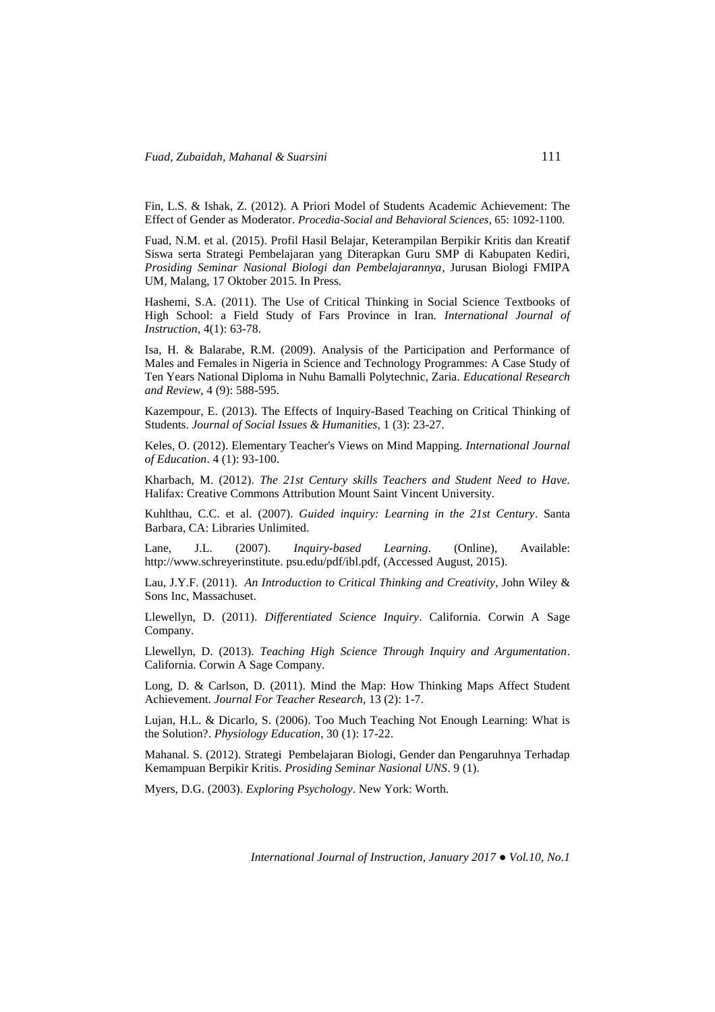Fin, L.S. & Ishak, Z. (2012). A Priori Model of Students Academic Achievement: The Effect of Gender as Moderator. *Procedia-Social and Behavioral Sciences*, 65: 1092-1100.

Fuad, N.M. et al. (2015). Profil Hasil Belajar, Keterampilan Berpikir Kritis dan Kreatif Siswa serta Strategi Pembelajaran yang Diterapkan Guru SMP di Kabupaten Kediri, *Prosiding Seminar Nasional Biologi dan Pembelajarannya*, Jurusan Biologi FMIPA UM, Malang, 17 Oktober 2015. In Press.

Hashemi, S.A. (2011). The Use of Critical Thinking in Social Science Textbooks of High School: a Field Study of Fars Province in Iran. *International Journal of Instruction*, 4(1): 63-78.

Isa, H. & Balarabe, R.M. (2009). Analysis of the Participation and Performance of Males and Females in Nigeria in Science and Technology Programmes: A Case Study of Ten Years National Diploma in Nuhu Bamalli Polytechnic, Zaria. *Educational Research and Review*, 4 (9): 588-595.

Kazempour, E. (2013). The Effects of Inquiry-Based Teaching on Critical Thinking of Students. *Journal of Social Issues & Humanities*, 1 (3): 23-27.

Keles, O. (2012). Elementary Teacher's Views on Mind Mapping. *International Journal of Education*. 4 (1): 93-100.

Kharbach, M. (2012). *The 21st Century skills Teachers and Student Need to Have.*  Halifax: Creative Commons Attribution Mount Saint Vincent University.

Kuhlthau, C.C. et al. (2007). *Guided inquiry: Learning in the 21st Century*. Santa Barbara, CA: Libraries Unlimited.

Lane, J.L. (2007). *Inquiry-based Learning*. (Online), Available: http://www.schreyerinstitute. psu.edu/pdf/ibl.pdf, (Accessed August, 2015).

Lau, J.Y.F. (2011). *An Introduction to Critical Thinking and Creativity*, John Wiley & Sons Inc, Massachuset.

Llewellyn, D. (2011). *Differentiated Science Inquiry*. California. Corwin A Sage Company.

Llewellyn, D. (2013). *Teaching High Science Through Inquiry and Argumentation*. California. Corwin A Sage Company.

Long, D. & Carlson, D. (2011). Mind the Map: How Thinking Maps Affect Student Achievement. *Journal For Teacher Research*, 13 (2): 1-7.

Lujan, H.L. & Dicarlo, S. (2006). Too Much Teaching Not Enough Learning: What is the Solution?. *Physiology Education*, 30 (1): 17-22.

Mahanal. S. (2012). Strategi Pembelajaran Biologi, Gender dan Pengaruhnya Terhadap Kemampuan Berpikir Kritis. *Prosiding Seminar Nasional UNS*. 9 (1).

Myers, D.G. (2003). *Exploring Psychology*. New York: Worth.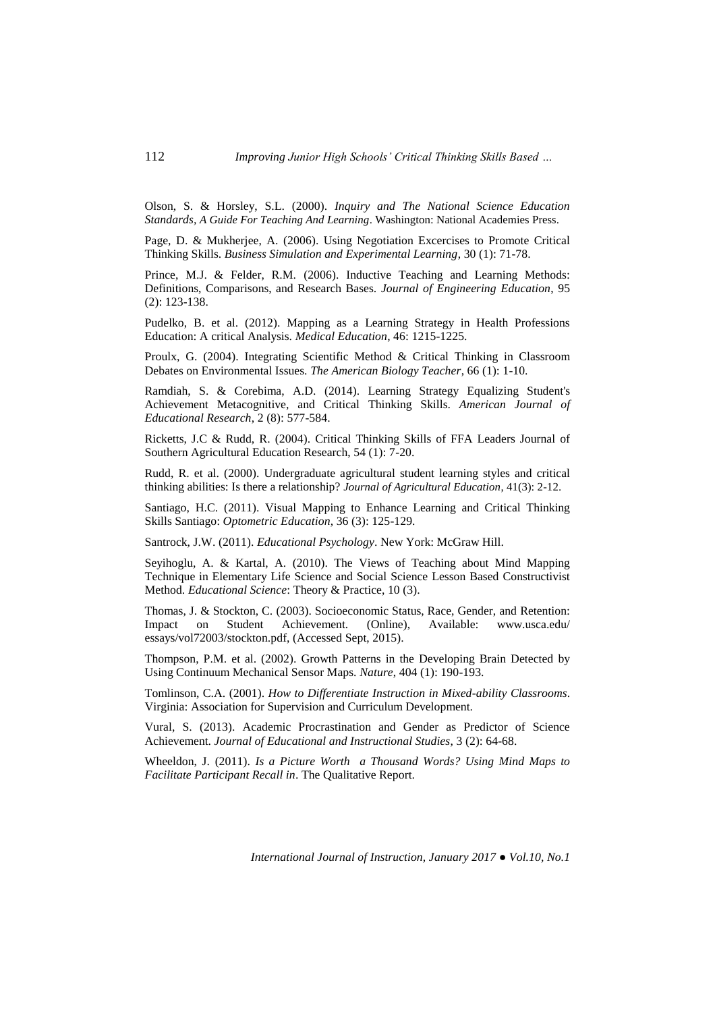Olson, S. & Horsley, S.L. (2000). *Inquiry and The National Science Education Standards, A Guide For Teaching And Learning*. Washington: National Academies Press.

Page, D. & Mukherjee, A. (2006). Using Negotiation Excercises to Promote Critical Thinking Skills. *Business Simulation and Experimental Learning*, 30 (1): 71-78.

Prince, M.J. & Felder, R.M. (2006). Inductive Teaching and Learning Methods: Definitions, Comparisons, and Research Bases. *Journal of Engineering Education*, 95 (2): 123-138.

Pudelko, B. et al. (2012). Mapping as a Learning Strategy in Health Professions Education: A critical Analysis. *Medical Education*, 46: 1215-1225.

Proulx, G. (2004). Integrating Scientific Method & Critical Thinking in Classroom Debates on Environmental Issues. *The American Biology Teacher*, 66 (1): 1-10.

Ramdiah, S. & Corebima, A.D. (2014). Learning Strategy Equalizing Student's Achievement Metacognitive, and Critical Thinking Skills. *American Journal of Educational Research*, 2 (8): 577-584.

Ricketts, J.C & Rudd, R. (2004). Critical Thinking Skills of FFA Leaders Journal of Southern Agricultural Education Research, 54 (1): 7-20.

Rudd, R. et al. (2000). Undergraduate agricultural student learning styles and critical thinking abilities: Is there a relationship? *Journal of Agricultural Education*, 41(3): 2-12.

Santiago, H.C. (2011). Visual Mapping to Enhance Learning and Critical Thinking Skills Santiago: *Optometric Education*, 36 (3): 125-129.

Santrock, J.W. (2011). *Educational Psychology*. New York: McGraw Hill.

Seyihoglu, A. & Kartal, A. (2010). The Views of Teaching about Mind Mapping Technique in Elementary Life Science and Social Science Lesson Based Constructivist Method. *Educational Science*: Theory & Practice, 10 (3).

Thomas, J. & Stockton, C. (2003). Socioeconomic Status, Race, Gender, and Retention: Impact on Student Achievement. (Online), Available: www.usca.edu/ essays/vol72003/stockton.pdf, (Accessed Sept, 2015).

Thompson, P.M. et al. (2002). Growth Patterns in the Developing Brain Detected by Using Continuum Mechanical Sensor Maps. *Nature*, 404 (1): 190-193.

Tomlinson, C.A. (2001). *How to Differentiate Instruction in Mixed-ability Classrooms*. Virginia: Association for Supervision and Curriculum Development.

Vural, S. (2013). Academic Procrastination and Gender as Predictor of Science Achievement. *Journal of Educational and Instructional Studies*, 3 (2): 64-68.

Wheeldon, J. (2011). *Is a Picture Worth a Thousand Words? Using Mind Maps to Facilitate Participant Recall in*. The Qualitative Report.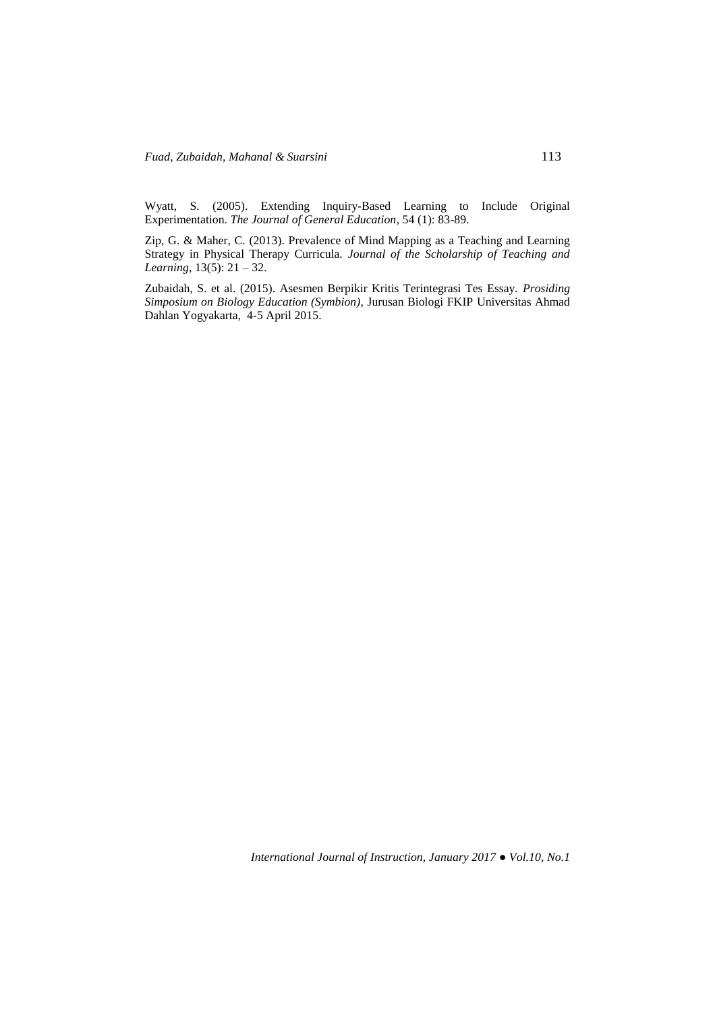Wyatt, S. (2005). Extending Inquiry-Based Learning to Include Original Experimentation. *The Journal of General Education*, 54 (1): 83-89.

Zip, G. & Maher, C. (2013). Prevalence of Mind Mapping as a Teaching and Learning Strategy in Physical Therapy Curricula. *Journal of the Scholarship of Teaching and Learning*, 13(5): 21 – 32.

Zubaidah, S. et al. (2015). Asesmen Berpikir Kritis Terintegrasi Tes Essay. *Prosiding Simposium on Biology Education (Symbion)*, Jurusan Biologi FKIP Universitas Ahmad Dahlan Yogyakarta, 4-5 April 2015.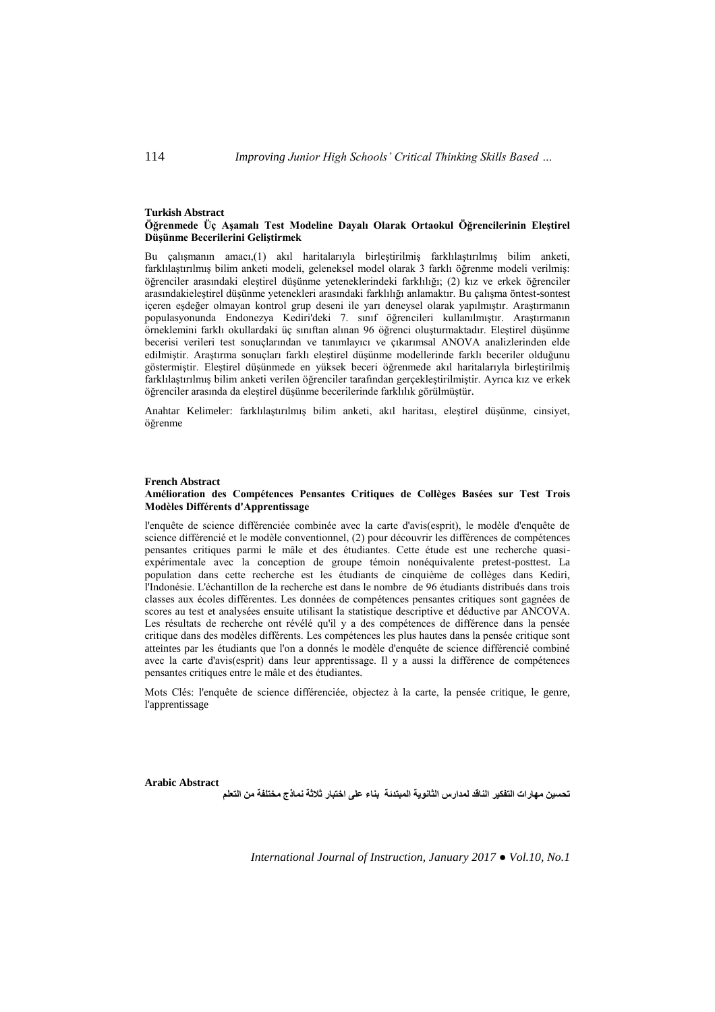#### **Turkish Abstract Öğrenmede Üç Aşamalı Test Modeline Dayalı Olarak Ortaokul Öğrencilerinin Eleştirel Düşünme Becerilerini Geliştirmek**

Bu çalışmanın amacı,(1) akıl haritalarıyla birleştirilmiş farklılaştırılmış bilim anketi, farklılaştırılmış bilim anketi modeli, geleneksel model olarak 3 farklı öğrenme modeli verilmiş: öğrenciler arasındaki eleştirel düşünme yeteneklerindeki farklılığı; (2) kız ve erkek öğrenciler arasındakieleştirel düşünme yetenekleri arasındaki farklılığı anlamaktır. Bu çalışma öntest-sontest içeren eşdeğer olmayan kontrol grup deseni ile yarı deneysel olarak yapılmıştır. Araştırmanın populasyonunda Endonezya Kediri'deki 7. sınıf öğrencileri kullanılmıştır. Araştırmanın örneklemini farklı okullardaki üç sınıftan alınan 96 öğrenci oluşturmaktadır. Eleştirel düşünme becerisi verileri test sonuçlarından ve tanımlayıcı ve çıkarımsal ANOVA analizlerinden elde edilmiştir. Araştırma sonuçları farklı eleştirel düşünme modellerinde farklı beceriler olduğunu göstermiştir. Eleştirel düşünmede en yüksek beceri öğrenmede akıl haritalarıyla birleştirilmiş farklılaştırılmış bilim anketi verilen öğrenciler tarafından gerçekleştirilmiştir. Ayrıca kız ve erkek öğrenciler arasında da eleştirel düşünme becerilerinde farklılık görülmüştür.

Anahtar Kelimeler: farklılaştırılmış bilim anketi, akıl haritası, eleştirel düşünme, cinsiyet, öğrenme

#### **French Abstract**

### **Amélioration des Compétences Pensantes Critiques de Collèges Basées sur Test Trois Modèles Différents d'Apprentissage**

l'enquête de science différenciée combinée avec la carte d'avis(esprit), le modèle d'enquête de science différencié et le modèle conventionnel, (2) pour découvrir les différences de compétences pensantes critiques parmi le mâle et des étudiantes. Cette étude est une recherche quasiexpérimentale avec la conception de groupe témoin nonéquivalente pretest-posttest. La population dans cette recherche est les étudiants de cinquième de collèges dans Kediri, l'Indonésie. L'échantillon de la recherche est dans le nombre de 96 étudiants distribués dans trois classes aux écoles différentes. Les données de compétences pensantes critiques sont gagnées de scores au test et analysées ensuite utilisant la statistique descriptive et déductive par ANCOVA. Les résultats de recherche ont révélé qu'il y a des compétences de différence dans la pensée critique dans des modèles différents. Les compétences les plus hautes dans la pensée critique sont atteintes par les étudiants que l'on a donnés le modèle d'enquête de science différencié combiné avec la carte d'avis(esprit) dans leur apprentissage. Il y a aussi la différence de compétences pensantes critiques entre le mâle et des étudiantes.

Mots Clés: l'enquête de science différenciée, objectez à la carte, la pensée critique, le genre, l'apprentissage

**Arabic Abstract**

**تحسين مهارات التفكير الناقد لمدارس الثانوية المبتدئة بناء على اختبار ثالثة نماذج مختلفة من التعلم**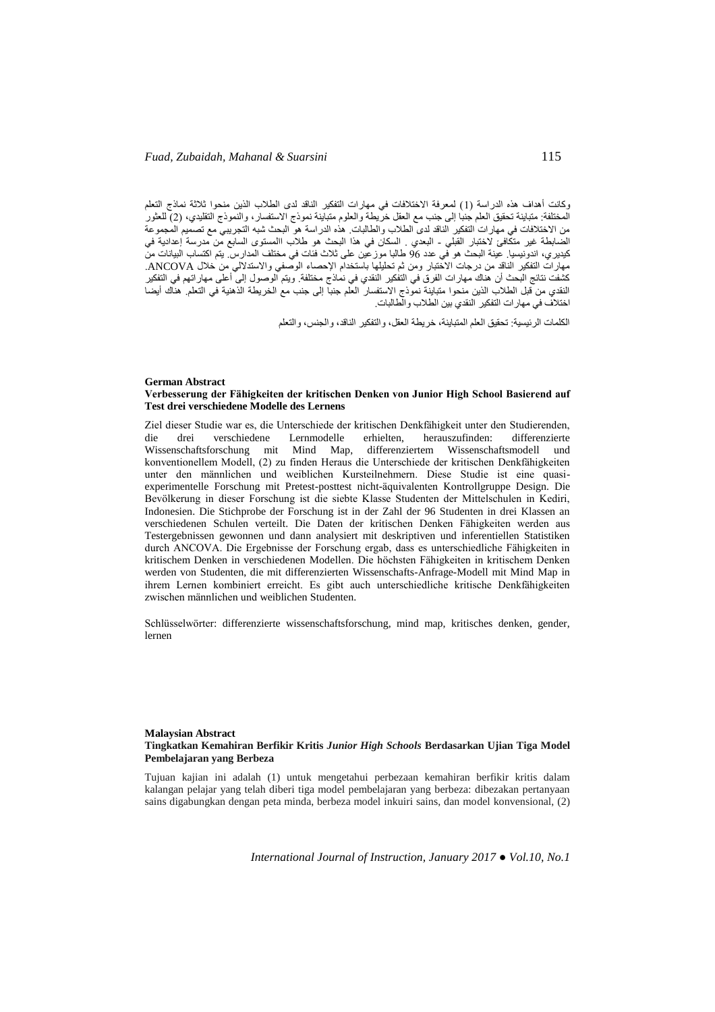وكانت أهداف هذه الدراسة (1) لمعرفة الاختلافات في مهارات التفكير الناقد لدى الطلاب الذين منحوا ثلاثة نماذج التعلم المختلفة: متباينة تحقيق العلم جنبا إلى جنب مع العقل خريطة والعلوم متباينة نموذج االستفسار، والنموذج التقليدي، )2( للعثور من االختالفات في مهارات التفكير الناقد لدى الطالب والطالبات. هذه الدراسة هو البحث شبه التجريبي مع تصميم المجموعة الضابطة غير متكّافئ لاختبار القبلي - البعدي . السكان في هذا البحث هو طلاب االمستوى السابع من مدرسة إعدادية في كيديري، اندونيسيا. عينة البحث هو في عدد 69 طالبا موزعين على ثالث فئات في مختلف المدارس. يتم اكتساب البيانات من مهارات التفكير الناقد من درجات االختبار ومن ثم تحليلها باستخدام اإلحصاء الوصفي واالستداللي من خالل ANCOVA. كشفت نتائج البحث أن هناك مهارات الفرق في التفكير النقدي في نماذج مختلفة. ويتم الوصول إلى أعلى مهاراتهم في التفكير النقدي من قبل الطالب الذين منحوا متباينة نموذج االستفسار العلم جنبا إلى جنب مع الخريطة الذهنية في التعلم. هناك أيضا اختالف في مهارات التفكير النقدي بين الطالب والطالبات.

الكلمات الرئيسية: تحقيق العلم المتباينة، خريطة العقل، والتفكير الناقد، والجنس، والتعلم

#### **German Abstract Verbesserung der Fähigkeiten der kritischen Denken von Junior High School Basierend auf Test drei verschiedene Modelle des Lernens**

Ziel dieser Studie war es, die Unterschiede der kritischen Denkfähigkeit unter den Studierenden, die drei verschiedene Lernmodelle erhielten, herauszufinden: differenzierte Mind Map, differenziertem Wissenschaftsmodell und konventionellem Modell, (2) zu finden Heraus die Unterschiede der kritischen Denkfähigkeiten unter den männlichen und weiblichen Kursteilnehmern. Diese Studie ist eine quasiexperimentelle Forschung mit Pretest-posttest nicht-äquivalenten Kontrollgruppe Design. Die Bevölkerung in dieser Forschung ist die siebte Klasse Studenten der Mittelschulen in Kediri, Indonesien. Die Stichprobe der Forschung ist in der Zahl der 96 Studenten in drei Klassen an verschiedenen Schulen verteilt. Die Daten der kritischen Denken Fähigkeiten werden aus Testergebnissen gewonnen und dann analysiert mit deskriptiven und inferentiellen Statistiken durch ANCOVA. Die Ergebnisse der Forschung ergab, dass es unterschiedliche Fähigkeiten in kritischem Denken in verschiedenen Modellen. Die höchsten Fähigkeiten in kritischem Denken werden von Studenten, die mit differenzierten Wissenschafts-Anfrage-Modell mit Mind Map in ihrem Lernen kombiniert erreicht. Es gibt auch unterschiedliche kritische Denkfähigkeiten zwischen männlichen und weiblichen Studenten.

Schlüsselwörter: differenzierte wissenschaftsforschung, mind map, kritisches denken, gender, lernen

#### **Malaysian Abstract Tingkatkan Kemahiran Berfikir Kritis** *Junior High Schools* **Berdasarkan Ujian Tiga Model Pembelajaran yang Berbeza**

Tujuan kajian ini adalah (1) untuk mengetahui perbezaan kemahiran berfikir kritis dalam kalangan pelajar yang telah diberi tiga model pembelajaran yang berbeza: dibezakan pertanyaan sains digabungkan dengan peta minda, berbeza model inkuiri sains, dan model konvensional, (2)